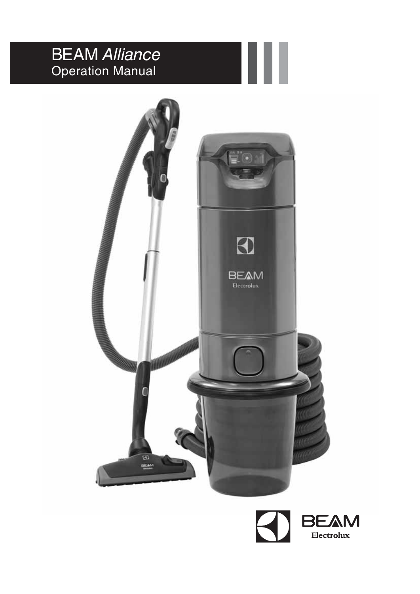# **BEAM Alliance** Operation Manual



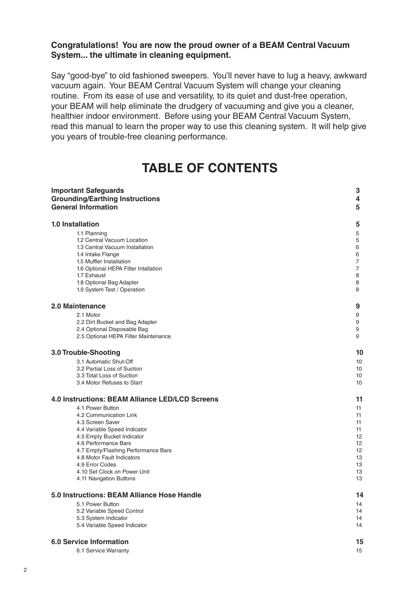### **Congratulations! You are now the proud owner of a BEAM Central Vacuum System... the ultimate in cleaning equipment.**

Say "good-bye" to old fashioned sweepers. You'll never have to lug a heavy, awkward vacuum again. Your BEAM Central Vacuum System will change your cleaning routine. From its ease of use and versatility, to its quiet and dust-free operation, your BEAM will help eliminate the drudgery of vacuuming and give you a cleaner, healthier indoor environment. Before using your BEAM Central Vacuum System, read this manual to learn the proper way to use this cleaning system. It will help give you years of trouble-free cleaning performance.

### **TABLE OF CONTENTS**

| <b>Important Safeguards</b>                            | 3              |
|--------------------------------------------------------|----------------|
| <b>Grounding/Earthing Instructions</b>                 | 4              |
| <b>General Information</b>                             | 5              |
| <b>1.0 Installation</b>                                | 5              |
| 1.1 Planning                                           | 5              |
| 1.2 Central Vacuum Location                            | 5              |
| 1.3 Central Vacuum Installation                        | 6              |
| 1.4 Intake Flange                                      | 6              |
| 1.5 Muffler Installation                               | 7              |
| 1.6 Optional HEPA Filter Intallation                   | $\overline{7}$ |
| 1.7 Exhaust                                            | 8              |
| 1.8 Optional Bag Adapter                               | 8              |
| 1.9 System Test / Operation                            | 8              |
| 2.0 Maintenance                                        | 9              |
| 2.1 Motor                                              | 9              |
| 2.2 Dirt Bucket and Bag Adapter                        | 9              |
| 2.4 Optional Disposable Bag                            | 9              |
| 2.5 Optional HEPA Filter Maintenance                   | 9              |
| 3.0 Trouble-Shooting                                   | 10             |
| 3.1 Automatic Shut-Off                                 | 10             |
| 3.2 Partial Loss of Suction                            | 10             |
| 3.3 Total Loss of Suction                              | 10             |
| 3.4 Motor Refuses to Start                             | 10             |
| <b>4.0 Instructions: BEAM Alliance LED/LCD Screens</b> | 11             |
| 4.1 Power Button                                       | 11             |
| 4.2 Communication Link                                 | 11             |
| 4.3 Screen Saver                                       | 11             |
| 4.4 Variable Speed Indicator                           | 11             |
| 4.5 Empty Bucket Indicator                             | 12             |
| 4.6 Performance Bars                                   | 12             |
| 4.7 Empty/Flashing Performance Bars                    | 12             |
| 4.8 Motor Fault Indicators                             | 13             |
| 4.9 Error Codes                                        | 13             |
| 4.10 Set Clock on Power Unit                           | 13             |
| 4.11 Navigation Buttons                                | 13             |
| 5.0 Instructions: BEAM Alliance Hose Handle            | 14             |
| 5.1 Power Button                                       | 14             |
| 5.2 Variable Speed Control                             | 14             |
| 5.3 System Indicator                                   | 14             |
| 5.4 Variable Speed Indicator                           | 14             |
| <b>6.0 Service Information</b>                         | 15             |
| 6.1 Service Warranty                                   | 15             |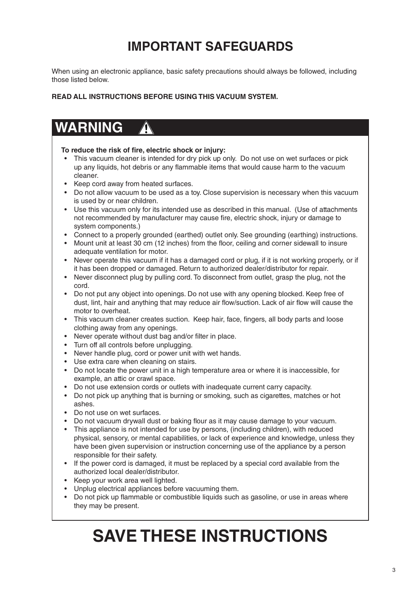# **IMPORTANT SAFEGUARDS**

When using an electronic appliance, basic safety precautions should always be followed, including those listed below.

**READ ALL INSTRUCTIONS BEFORE USING THIS VACUUM SYSTEM.**

# **WARNING**

#### To reduce the risk of fire, electric shock or injury:

- This vacuum cleaner is intended for dry pick up only. Do not use on wet surfaces or pick up any liquids, hot debris or any flammable items that would cause harm to the vacuum cleaner.
- Keep cord away from heated surfaces.
- Do not allow vacuum to be used as a toy. Close supervision is necessary when this vacuum is used by or near children.
- Use this vacuum only for its intended use as described in this manual. (Use of attachments not recommended by manufacturer may cause fire, electric shock, injury or damage to system components.)
- Connect to a properly grounded (earthed) outlet only. See grounding (earthing) instructions.
- Mount unit at least 30 cm (12 inches) from the floor, ceiling and corner sidewall to insure adequate ventilation for motor.
- Never operate this vacuum if it has a damaged cord or plug, if it is not working properly, or if it has been dropped or damaged. Return to authorized dealer/distributor for repair.
- Never disconnect plug by pulling cord. To disconnect from outlet, grasp the plug, not the cord.
- Do not put any object into openings. Do not use with any opening blocked. Keep free of dust, lint, hair and anything that may reduce air flow/suction. Lack of air flow will cause the motor to overheat.
- This vacuum cleaner creates suction. Keep hair, face, fingers, all body parts and loose clothing away from any openings.
- Never operate without dust bag and/or filter in place.
- Turn off all controls before unplugging.
- Never handle plug, cord or power unit with wet hands.
- Use extra care when cleaning on stairs.
- Do not locate the power unit in a high temperature area or where it is inaccessible, for example, an attic or crawl space.
- Do not use extension cords or outlets with inadequate current carry capacity.
- Do not pick up anything that is burning or smoking, such as cigarettes, matches or hot ashes.
- Do not use on wet surfaces.
- Do not vacuum drywall dust or baking flour as it may cause damage to your vacuum.
- This appliance is not intended for use by persons, (including children), with reduced physical, sensory, or mental capabilities, or lack of experience and knowledge, unless they have been given supervision or instruction concerning use of the appliance by a person responsible for their safety.
- If the power cord is damaged, it must be replaced by a special cord available from the authorized local dealer/distributor.
- Keep your work area well lighted.
- Unplug electrical appliances before vacuuming them.
- Do not pick up flammable or combustible liquids such as gasoline, or use in areas where they may be present.

# **SAVE THESE INSTRUCTIONS**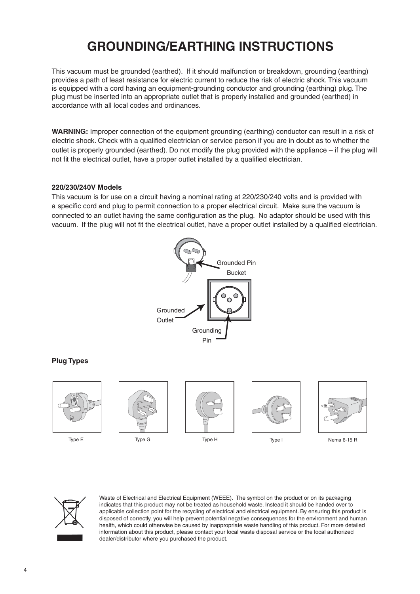# **GROUNDING/EARTHING INSTRUCTIONS**

This vacuum must be grounded (earthed). If it should malfunction or breakdown, grounding (earthing) provides a path of least resistance for electric current to reduce the risk of electric shock. This vacuum is equipped with a cord having an equipment-grounding conductor and grounding (earthing) plug. The plug must be inserted into an appropriate outlet that is properly installed and grounded (earthed) in accordance with all local codes and ordinances.

**WARNING:** Improper connection of the equipment grounding (earthing) conductor can result in a risk of electric shock. Check with a qualified electrician or service person if you are in doubt as to whether the outlet is properly grounded (earthed). Do not modify the plug provided with the appliance – if the plug will not fit the electrical outlet, have a proper outlet installed by a qualified electrician.

#### **220/230/240V Models**

This vacuum is for use on a circuit having a nominal rating at 220/230/240 volts and is provided with a specific cord and plug to permit connection to a proper electrical circuit. Make sure the vacuum is connected to an outlet having the same configuration as the plug. No adaptor should be used with this vacuum. If the plug will not fit the electrical outlet, have a proper outlet installed by a qualified electrician.



#### **Plug Types**





Waste of Electrical and Electrical Equipment (WEEE). The symbol on the product or on its packaging indicates that this product may not be treated as household waste. Instead it should be handed over to applicable collection point for the recycling of electrical and electrical equipment. By ensuring this product is disposed of correctly, you will help prevent potential negative consequences for the environment and human health, which could otherwise be caused by inappropriate waste handling of this product. For more detailed information about this product, please contact your local waste disposal service or the local authorized dealer/distributor where you purchased the product.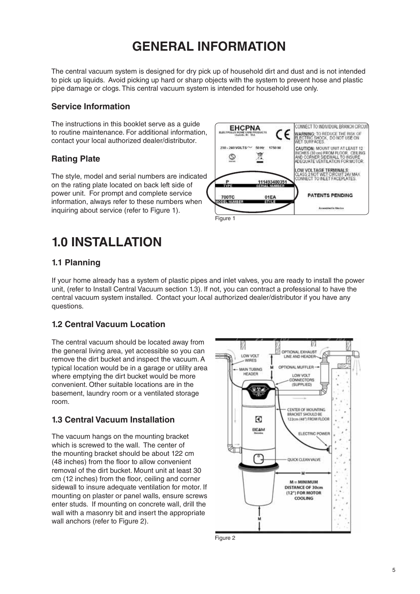# **GENERAL INFORMATION**

The central vacuum system is designed for dry pick up of household dirt and dust and is not intended to pick up liquids. Avoid picking up hard or sharp objects with the system to prevent hose and plastic pipe damage or clogs. This central vacuum system is intended for household use only.

### **Service Information**

The instructions in this booklet serve as a guide to routine maintenance. For additional information, contact your local authorized dealer/distributor.

### **Rating Plate**

The style, model and serial numbers are indicated on the rating plate located on back left side of power unit. For prompt and complete service information, always refer to these numbers when inquiring about service (refer to Figure 1).



### **1.0 INSTALLATION**

### **1.1 Planning**

If your home already has a system of plastic pipes and inlet valves, you are ready to install the power unit, (refer to Install Central Vacuum section 1.3). If not, you can contract a professional to have the central vacuum system installed. Contact your local authorized dealer/distributor if you have any questions.

### **1.2 Central Vacuum Location**

The central vacuum should be located away from the general living area, yet accessible so you can remove the dirt bucket and inspect the vacuum. A typical location would be in a garage or utility area where emptying the dirt bucket would be more convenient. Other suitable locations are in the basement, laundry room or a ventilated storage room.

### **1.3 Central Vacuum Installation**

The vacuum hangs on the mounting bracket which is screwed to the wall. The center of the mounting bracket should be about 122 cm (48 inches) from the floor to allow convenient removal of the dirt bucket. Mount unit at least 30 cm (12 inches) from the floor, ceiling and corner sidewall to insure adequate ventilation for motor. If mounting on plaster or panel walls, ensure screws enter studs. If mounting on concrete wall, drill the wall with a masonry bit and insert the appropriate wall anchors (refer to Figure 2).



Figure 2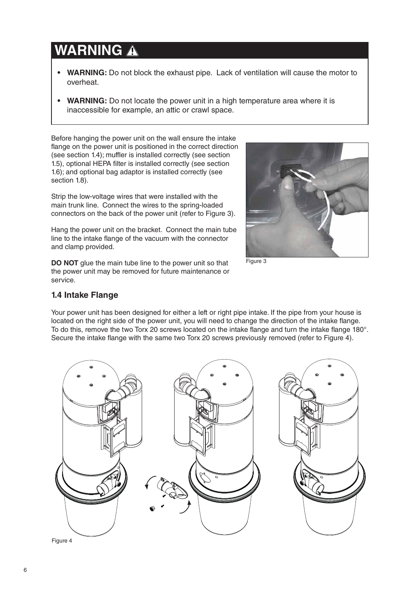# **WARNING**

- **WARNING:** Do not block the exhaust pipe. Lack of ventilation will cause the motor to overheat.
- **WARNING:** Do not locate the power unit in a high temperature area where it is inaccessible for example, an attic or crawl space.

Before hanging the power unit on the wall ensure the intake flange on the power unit is positioned in the correct direction (see section 1.4); muffler is installed correctly (see section 1.5), optional HEPA filter is installed correctly (see section 1.6); and optional bag adaptor is installed correctly (see section 1.8).

Strip the low-voltage wires that were installed with the main trunk line. Connect the wires to the spring-loaded connectors on the back of the power unit (refer to Figure 3).



Hang the power unit on the bracket. Connect the main tube line to the intake flange of the vacuum with the connector and clamp provided.

**DO NOT** glue the main tube line to the power unit so that the power unit may be removed for future maintenance or service.

Figure 3

### **1.4 Intake Flange**

Your power unit has been designed for either a left or right pipe intake. If the pipe from your house is located on the right side of the power unit, you will need to change the direction of the intake flange. To do this, remove the two Torx 20 screws located on the intake flange and turn the intake flange 180°. Secure the intake flange with the same two Torx 20 screws previously removed (refer to Figure 4).

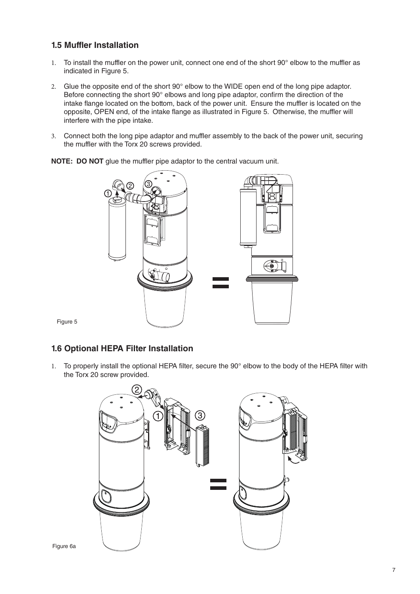### **1.5 Muffler Installation**

- 1. To install the muffler on the power unit, connect one end of the short 90° elbow to the muffler as indicated in Figure 5.
- 2. Glue the opposite end of the short 90° elbow to the WIDE open end of the long pipe adaptor. Before connecting the short  $90^\circ$  elbows and long pipe adaptor, confirm the direction of the intake flange located on the bottom, back of the power unit. Ensure the muffler is located on the opposite, OPEN end, of the intake flange as illustrated in Figure 5. Otherwise, the muffler will interfere with the pipe intake.
- 3. Connect both the long pipe adaptor and muffler assembly to the back of the power unit, securing the muffler with the Torx 20 screws provided.

**NOTE: DO NOT** glue the muffler pipe adaptor to the central vacuum unit.



Figure 5

### **1.6 Optional HEPA Filter Installation**

1. To properly install the optional HEPA filter, secure the 90° elbow to the body of the HEPA filter with the Torx 20 screw provided.

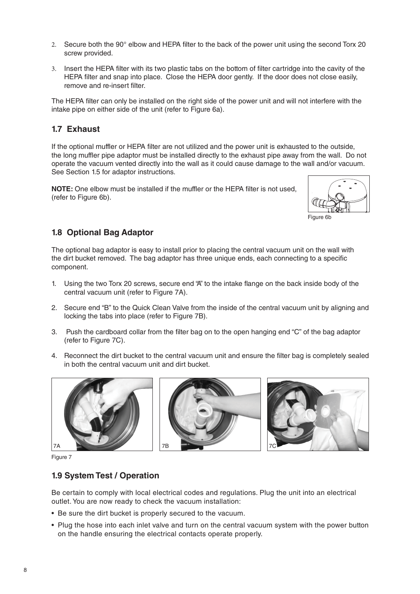- 2. Secure both the  $90^\circ$  elbow and HEPA filter to the back of the power unit using the second Torx 20 screw provided.
- 3. Insert the HEPA filter with its two plastic tabs on the bottom of filter cartridge into the cavity of the HEPA filter and snap into place. Close the HEPA door gently. If the door does not close easily, remove and re-insert filter.

The HEPA filter can only be installed on the right side of the power unit and will not interfere with the intake pipe on either side of the unit (refer to Figure 6a).

### **1.7 Exhaust**

If the optional muffler or HEPA filter are not utilized and the power unit is exhausted to the outside, the long muffler pipe adaptor must be installed directly to the exhaust pipe away from the wall. Do not operate the vacuum vented directly into the wall as it could cause damage to the wall and/or vacuum. See Section 1.5 for adaptor instructions.

**NOTE:** One elbow must be installed if the muffler or the HEPA filter is not used, (refer to Figure 6b).



#### Figure 6b

### **1.8 Optional Bag Adaptor**

The optional bag adaptor is easy to install prior to placing the central vacuum unit on the wall with the dirt bucket removed. The bag adaptor has three unique ends, each connecting to a specific component.

- 1. Using the two Torx 20 screws, secure end "A" to the intake flange on the back inside body of the central vacuum unit (refer to Figure 7A).
- 2. Secure end "B" to the Quick Clean Valve from the inside of the central vacuum unit by aligning and locking the tabs into place (refer to Figure 7B).
- 3. Push the cardboard collar from the filter bag on to the open hanging end "C" of the bag adaptor (refer to Figure 7C).
- 4. Reconnect the dirt bucket to the central vacuum unit and ensure the filter bag is completely sealed in both the central vacuum unit and dirt bucket.







Figure 7

#### **1.9 System Test / Operation**

Be certain to comply with local electrical codes and regulations. Plug the unit into an electrical outlet. You are now ready to check the vacuum installation:

- Be sure the dirt bucket is properly secured to the vacuum.
- Plug the hose into each inlet valve and turn on the central vacuum system with the power button on the handle ensuring the electrical contacts operate properly.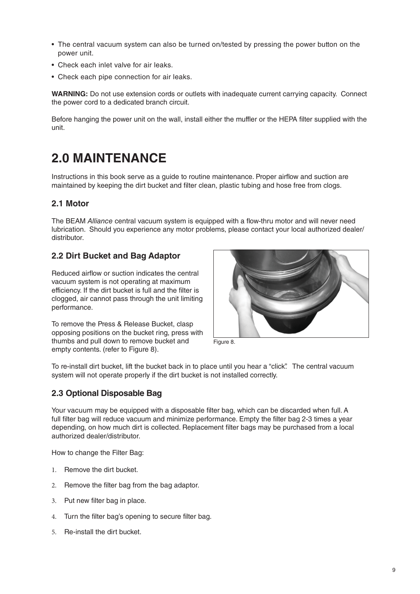- The central vacuum system can also be turned on/tested by pressing the power button on the power unit.
- Check each inlet valve for air leaks.
- Check each pipe connection for air leaks.

**WARNING:** Do not use extension cords or outlets with inadequate current carrying capacity. Connect the power cord to a dedicated branch circuit.

Before hanging the power unit on the wall, install either the muffler or the HEPA filter supplied with the unit.

### **2.0 MAINTENANCE**

Instructions in this book serve as a quide to routine maintenance. Proper airflow and suction are maintained by keeping the dirt bucket and filter clean, plastic tubing and hose free from clogs.

### **2.1 Motor**

The BEAM Alliance central vacuum system is equipped with a flow-thru motor and will never need lubrication. Should you experience any motor problems, please contact your local authorized dealer/ distributor.

### **2.2 Dirt Bucket and Bag Adaptor**

Reduced airflow or suction indicates the central vacuum system is not operating at maximum efficiency. If the dirt bucket is full and the filter is clogged, air cannot pass through the unit limiting performance.

To remove the Press & Release Bucket, clasp opposing positions on the bucket ring, press with thumbs and pull down to remove bucket and empty contents. (refer to Figure 8).



Figure 8.

To re-install dirt bucket, lift the bucket back in to place until you hear a "click". The central vacuum system will not operate properly if the dirt bucket is not installed correctly.

### **2.3 Optional Disposable Bag**

Your vacuum may be equipped with a disposable filter bag, which can be discarded when full. A full filter bag will reduce vacuum and minimize performance. Empty the filter bag 2-3 times a year depending, on how much dirt is collected. Replacement filter bags may be purchased from a local authorized dealer/distributor.

How to change the Filter Bag:

- 1. Remove the dirt bucket.
- 2. Remove the filter bag from the bag adaptor.
- 3. Put new filter bag in place.
- 4. Turn the filter bag's opening to secure filter bag.
- 5. Re-install the dirt bucket.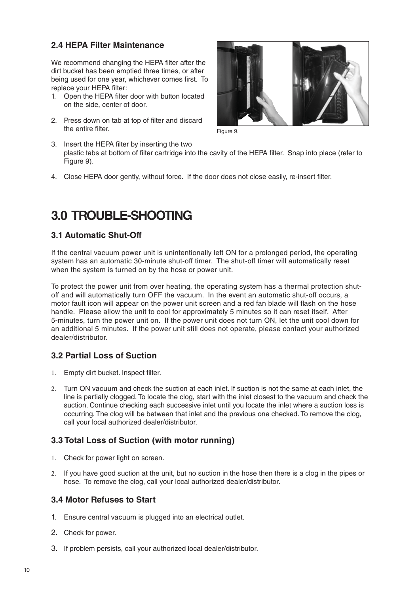### **2.4 HEPA Filter Maintenance**

We recommend changing the HEPA filter after the dirt bucket has been emptied three times, or after being used for one year, whichever comes first. To replace your HEPA filter:

- 1. Open the HEPA filter door with button located on the side, center of door.
- 2. Press down on tab at top of filter and discard the entire filter



Figure 9.

- 3. Insert the HEPA filter by inserting the two plastic tabs at bottom of filter cartridge into the cavity of the HEPA filter. Snap into place (refer to Figure 9).
- 4. Close HEPA door gently, without force. If the door does not close easily, re-insert filter.

### **3.0 TROUBLE-SHOOTING**

### **3.1 Automatic Shut-Off**

If the central vacuum power unit is unintentionally left ON for a prolonged period, the operating system has an automatic 30-minute shut-off timer. The shut-off timer will automatically reset when the system is turned on by the hose or power unit.

To protect the power unit from over heating, the operating system has a thermal protection shutoff and will automatically turn OFF the vacuum. In the event an automatic shut-off occurs, a motor fault icon will appear on the power unit screen and a red fan blade will flash on the hose handle. Please allow the unit to cool for approximately 5 minutes so it can reset itself. After 5-minutes, turn the power unit on. If the power unit does not turn ON, let the unit cool down for an additional 5 minutes. If the power unit still does not operate, please contact your authorized dealer/distributor.

### **3.2 Partial Loss of Suction**

- 1. Empty dirt bucket. Inspect filter.
- 2. Turn ON vacuum and check the suction at each inlet. If suction is not the same at each inlet, the line is partially clogged. To locate the clog, start with the inlet closest to the vacuum and check the suction. Continue checking each successive inlet until you locate the inlet where a suction loss is occurring. The clog will be between that inlet and the previous one checked. To remove the clog, call your local authorized dealer/distributor.

### **3.3 Total Loss of Suction (with motor running)**

- 1. Check for power light on screen.
- 2. If you have good suction at the unit, but no suction in the hose then there is a clog in the pipes or hose. To remove the clog, call your local authorized dealer/distributor.

### **3.4 Motor Refuses to Start**

- 1. Ensure central vacuum is plugged into an electrical outlet.
- 2. Check for power.
- 3. If problem persists, call your authorized local dealer/distributor.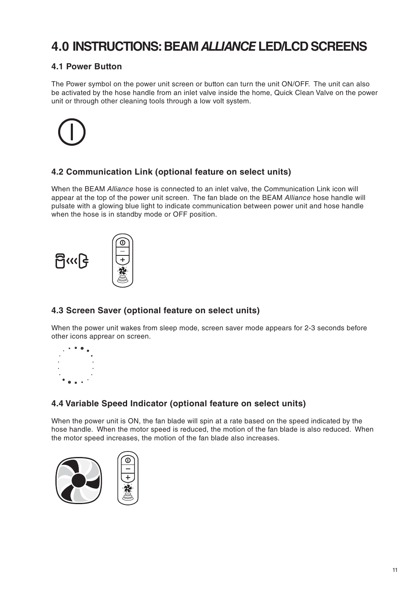### **4.0 INSTRUCTIONS: BEAM ALLIANCE LED/LCD SCREENS**

### **4.1 Power Button**

The Power symbol on the power unit screen or button can turn the unit ON/OFF. The unit can also be activated by the hose handle from an inlet valve inside the home, Quick Clean Valve on the power unit or through other cleaning tools through a low volt system.



### **4.2 Communication Link (optional feature on select units)**

When the BEAM Alliance hose is connected to an inlet valve, the Communication Link icon will appear at the top of the power unit screen. The fan blade on the BEAM Alliance hose handle will pulsate with a glowing blue light to indicate communication between power unit and hose handle when the hose is in standby mode or OFF position.



### **4.3 Screen Saver (optional feature on select units)**

When the power unit wakes from sleep mode, screen saver mode appears for 2-3 seconds before other icons apprear on screen.



### **4.4 Variable Speed Indicator (optional feature on select units)**

When the power unit is ON, the fan blade will spin at a rate based on the speed indicated by the hose handle. When the motor speed is reduced, the motion of the fan blade is also reduced. When the motor speed increases, the motion of the fan blade also increases.



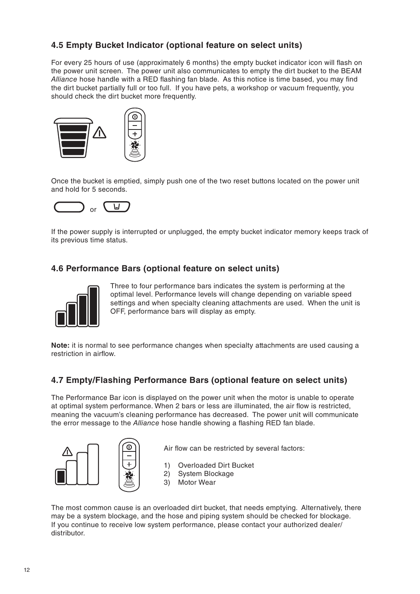### **4.5 Empty Bucket Indicator (optional feature on select units)**

For every 25 hours of use (approximately 6 months) the empty bucket indicator icon will flash on the power unit screen. The power unit also communicates to empty the dirt bucket to the BEAM Alliance hose handle with a RED flashing fan blade. As this notice is time based, you may find the dirt bucket partially full or too full. If you have pets, a workshop or vacuum frequently, you should check the dirt bucket more frequently.



Once the bucket is emptied, simply push one of the two reset buttons located on the power unit and hold for 5 seconds.



If the power supply is interrupted or unplugged, the empty bucket indicator memory keeps track of its previous time status.

### **4.6 Performance Bars (optional feature on select units)**



Three to four performance bars indicates the system is performing at the optimal level. Performance levels will change depending on variable speed settings and when specialty cleaning attachments are used. When the unit is OFF, performance bars will display as empty.

**Note:** it is normal to see performance changes when specialty attachments are used causing a restriction in airflow

### **4.7 Empty/Flashing Performance Bars (optional feature on select units)**

The Performance Bar icon is displayed on the power unit when the motor is unable to operate at optimal system performance. When 2 bars or less are illuminated, the air flow is restricted, meaning the vacuum's cleaning performance has decreased. The power unit will communicate the error message to the Alliance hose handle showing a flashing RED fan blade.



Air flow can be restricted by several factors:

- 1) Overloaded Dirt Bucket
- 2) System Blockage
- 3) Motor Wear

The most common cause is an overloaded dirt bucket, that needs emptying. Alternatively, there may be a system blockage, and the hose and piping system should be checked for blockage. If you continue to receive low system performance, please contact your authorized dealer/ distributor.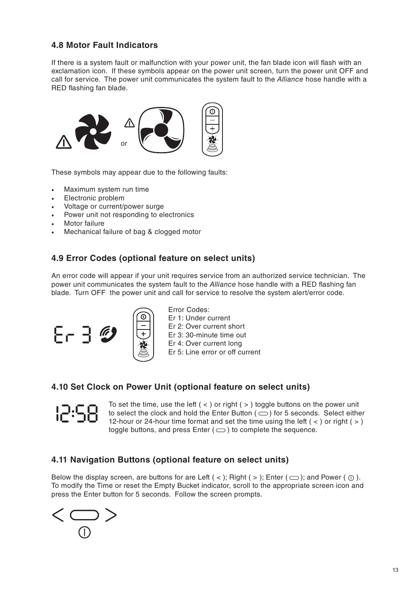### **4.8 Motor Fault Indicators**

If there is a system fault or malfunction with your power unit, the fan blade icon will flash with an exclamation icon. If these symbols appear on the power unit screen, turn the power unit OFF and call for service. The power unit communicates the system fault to the Alliance hose handle with a RED flashing fan blade.



These symbols may appear due to the following faults:

- Maximum system run time
- Electronic problem
- Voltage or current/power surge
- Power unit not responding to electronics
- Motor failure
- Mechanical failure of bag & clogged motor

### **4.9 Error Codes (optional feature on select units)**

An error code will appear if your unit requires service from an authorized service technician. The power unit communicates the system fault to the *Alliance* hose handle with a RED flashing fan blade. Turn OFF the power unit and call for service to resolve the system alert/error code.





### **4.10 Set Clock on Power Unit (optional feature on select units)**



To set the time, use the left  $($  <  $)$  or right  $($  >  $)$  toggle buttons on the power unit to select the clock and hold the Enter Button ( $\bigcirc$ ) for 5 seconds. Select either 12-hour or 24-hour time format and set the time using the left  $( \leq )$  or right  $( \geq )$ toggle buttons, and press Enter  $(\implies)$  to complete the sequence.

### **4.11 Navigation Buttons (optional feature on select units)**

Below the display screen, are buttons for are Left  $($  <  $)$ ; Right  $($  >  $)$ ; Enter  $($  $\bigcirc$   $)$ ; and Power  $($  $\bigcirc$  $)$ . To modify the Time or reset the Empty Bucket indicator, scroll to the appropriate screen icon and press the Enter button for 5 seconds. Follow the screen prompts.

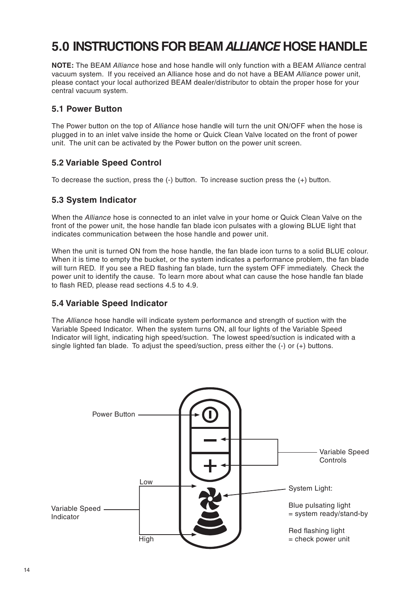# **5.0 INSTRUCTIONS FOR BEAM ALLIANCE HOSE HANDLE**

**NOTE:** The BEAM Alliance hose and hose handle will only function with a BEAM Alliance central vacuum system. If you received an Alliance hose and do not have a BEAM Alliance power unit, please contact your local authorized BEAM dealer/distributor to obtain the proper hose for your central vacuum system.

#### **5.1 Power Button**

The Power button on the top of *Alliance* hose handle will turn the unit ON/OFF when the hose is plugged in to an inlet valve inside the home or Quick Clean Valve located on the front of power unit. The unit can be activated by the Power button on the power unit screen.

### **5.2 Variable Speed Control**

To decrease the suction, press the (-) button. To increase suction press the (+) button.

### **5.3 System Indicator**

When the Alliance hose is connected to an inlet valve in your home or Quick Clean Valve on the front of the power unit, the hose handle fan blade icon pulsates with a glowing BLUE light that indicates communication between the hose handle and power unit.

When the unit is turned ON from the hose handle, the fan blade icon turns to a solid BLUE colour. When it is time to empty the bucket, or the system indicates a performance problem, the fan blade will turn RED. If you see a RED flashing fan blade, turn the system OFF immediately. Check the power unit to identify the cause. To learn more about what can cause the hose handle fan blade to flash RED, please read sections 4.5 to 4.9.

### **5.4 Variable Speed Indicator**

The Alliance hose handle will indicate system performance and strength of suction with the Variable Speed Indicator. When the system turns ON, all four lights of the Variable Speed Indicator will light, indicating high speed/suction. The lowest speed/suction is indicated with a single lighted fan blade. To adjust the speed/suction, press either the (-) or (+) buttons.

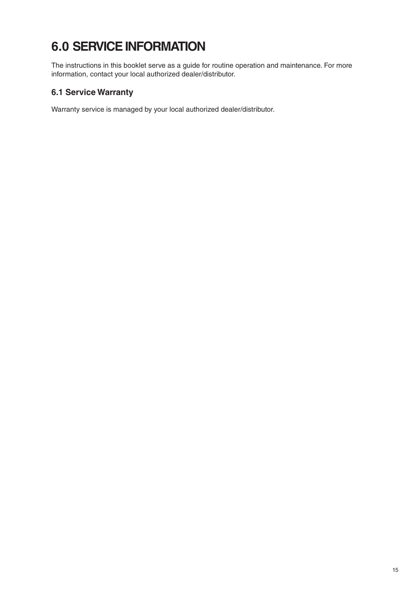# **6.0 SERVICE INFORMATION**

The instructions in this booklet serve as a guide for routine operation and maintenance. For more information, contact your local authorized dealer/distributor.

### **6.1 Service Warranty**

Warranty service is managed by your local authorized dealer/distributor.